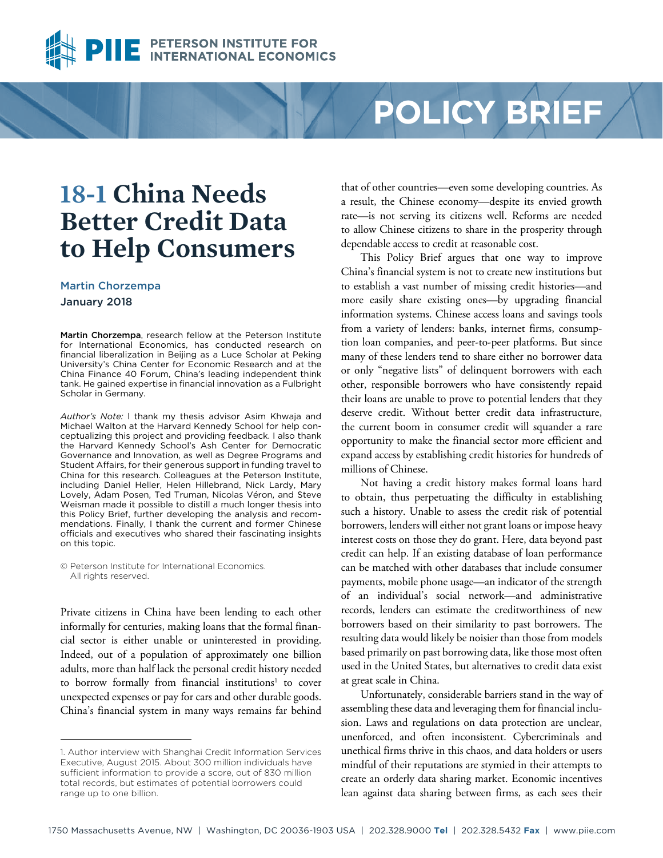

# **POLICY BRIEF**

# **18-1 China Needs Better Credit Data to Help Consumers**

#### Martin Chorzempa

#### January 2018

Martin Chorzempa, research fellow at the Peterson Institute for International Economics, has conducted research on financial liberalization in Beijing as a Luce Scholar at Peking University's China Center for Economic Research and at the China Finance 40 Forum, China's leading independent think tank. He gained expertise in financial innovation as a Fulbright Scholar in Germany.

*Author's Note:* l thank my thesis advisor Asim Khwaja and Michael Walton at the Harvard Kennedy School for help conceptualizing this project and providing feedback. I also thank the Harvard Kennedy School's Ash Center for Democratic Governance and Innovation, as well as Degree Programs and Student Affairs, for their generous support in funding travel to China for this research. Colleagues at the Peterson Institute, including Daniel Heller, Helen Hillebrand, Nick Lardy, Mary Lovely, Adam Posen, Ted Truman, Nicolas Véron, and Steve Weisman made it possible to distill a much longer thesis into this Policy Brief, further developing the analysis and recommendations. Finally, I thank the current and former Chinese officials and executives who shared their fascinating insights on this topic.

© Peterson Institute for International Economics. All rights reserved.

Private citizens in China have been lending to each other informally for centuries, making loans that the formal financial sector is either unable or uninterested in providing. Indeed, out of a population of approximately one billion adults, more than half lack the personal credit history needed to borrow formally from financial institutions<sup>1</sup> to cover unexpected expenses or pay for cars and other durable goods. China's financial system in many ways remains far behind

that of other countries—even some developing countries. As a result, the Chinese economy—despite its envied growth rate—is not serving its citizens well. Reforms are needed to allow Chinese citizens to share in the prosperity through dependable access to credit at reasonable cost.

This Policy Brief argues that one way to improve China's financial system is not to create new institutions but to establish a vast number of missing credit histories—and more easily share existing ones—by upgrading financial information systems. Chinese access loans and savings tools from a variety of lenders: banks, internet firms, consumption loan companies, and peer-to-peer platforms. But since many of these lenders tend to share either no borrower data or only "negative lists" of delinquent borrowers with each other, responsible borrowers who have consistently repaid their loans are unable to prove to potential lenders that they deserve credit. Without better credit data infrastructure, the current boom in consumer credit will squander a rare opportunity to make the financial sector more efficient and expand access by establishing credit histories for hundreds of millions of Chinese.

Not having a credit history makes formal loans hard to obtain, thus perpetuating the difficulty in establishing such a history. Unable to assess the credit risk of potential borrowers, lenders will either not grant loans or impose heavy interest costs on those they do grant. Here, data beyond past credit can help. If an existing database of loan performance can be matched with other databases that include consumer payments, mobile phone usage—an indicator of the strength of an individual's social network—and administrative records, lenders can estimate the creditworthiness of new borrowers based on their similarity to past borrowers. The resulting data would likely be noisier than those from models based primarily on past borrowing data, like those most often used in the United States, but alternatives to credit data exist at great scale in China.

Unfortunately, considerable barriers stand in the way of assembling these data and leveraging them for financial inclusion. Laws and regulations on data protection are unclear, unenforced, and often inconsistent. Cybercriminals and unethical firms thrive in this chaos, and data holders or users mindful of their reputations are stymied in their attempts to create an orderly data sharing market. Economic incentives lean against data sharing between firms, as each sees their

<sup>1.</sup> Author interview with Shanghai Credit Information Services Executive, August 2015. About 300 million individuals have sufficient information to provide a score, out of 830 million total records, but estimates of potential borrowers could range up to one billion.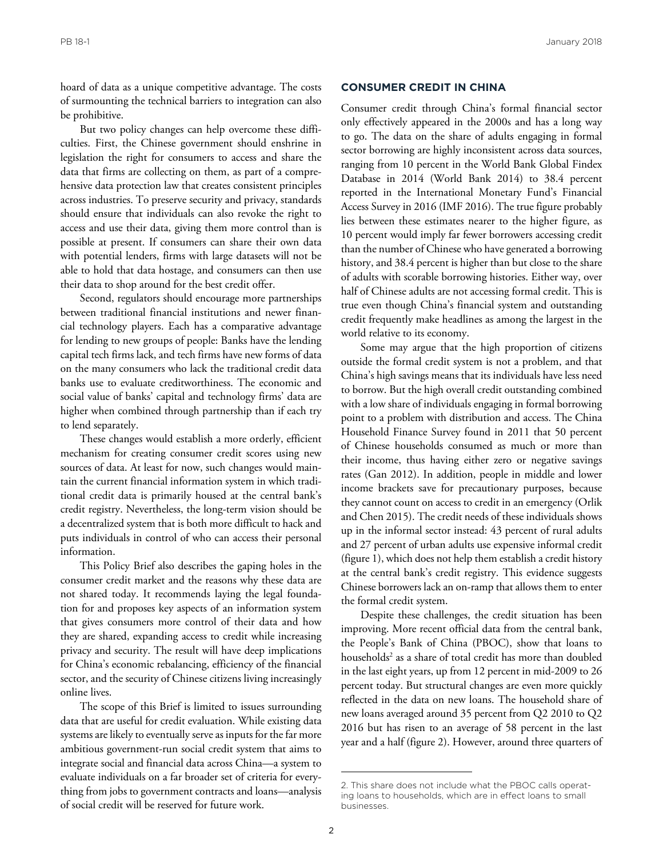hoard of data as a unique competitive advantage. The costs of surmounting the technical barriers to integration can also be prohibitive.

But two policy changes can help overcome these difficulties. First, the Chinese government should enshrine in legislation the right for consumers to access and share the data that firms are collecting on them, as part of a comprehensive data protection law that creates consistent principles across industries. To preserve security and privacy, standards should ensure that individuals can also revoke the right to access and use their data, giving them more control than is possible at present. If consumers can share their own data with potential lenders, firms with large datasets will not be able to hold that data hostage, and consumers can then use their data to shop around for the best credit offer.

Second, regulators should encourage more partnerships between traditional financial institutions and newer financial technology players. Each has a comparative advantage for lending to new groups of people: Banks have the lending capital tech firms lack, and tech firms have new forms of data on the many consumers who lack the traditional credit data banks use to evaluate creditworthiness. The economic and social value of banks' capital and technology firms' data are higher when combined through partnership than if each try to lend separately.

These changes would establish a more orderly, efficient mechanism for creating consumer credit scores using new sources of data. At least for now, such changes would maintain the current financial information system in which traditional credit data is primarily housed at the central bank's credit registry. Nevertheless, the long-term vision should be a decentralized system that is both more difficult to hack and puts individuals in control of who can access their personal information.

This Policy Brief also describes the gaping holes in the consumer credit market and the reasons why these data are not shared today. It recommends laying the legal foundation for and proposes key aspects of an information system that gives consumers more control of their data and how they are shared, expanding access to credit while increasing privacy and security. The result will have deep implications for China's economic rebalancing, efficiency of the financial sector, and the security of Chinese citizens living increasingly online lives.

The scope of this Brief is limited to issues surrounding data that are useful for credit evaluation. While existing data systems are likely to eventually serve as inputs for the far more ambitious government-run social credit system that aims to integrate social and financial data across China—a system to evaluate individuals on a far broader set of criteria for everything from jobs to government contracts and loans—analysis of social credit will be reserved for future work.

#### **CONSUMER CREDIT IN CHINA**

Consumer credit through China's formal financial sector only effectively appeared in the 2000s and has a long way to go. The data on the share of adults engaging in formal sector borrowing are highly inconsistent across data sources, ranging from 10 percent in the World Bank Global Findex Database in 2014 (World Bank 2014) to 38.4 percent reported in the International Monetary Fund's Financial Access Survey in 2016 (IMF 2016). The true figure probably lies between these estimates nearer to the higher figure, as 10 percent would imply far fewer borrowers accessing credit than the number of Chinese who have generated a borrowing history, and 38.4 percent is higher than but close to the share of adults with scorable borrowing histories. Either way, over half of Chinese adults are not accessing formal credit. This is true even though China's financial system and outstanding credit frequently make headlines as among the largest in the world relative to its economy.

Some may argue that the high proportion of citizens outside the formal credit system is not a problem, and that China's high savings means that its individuals have less need to borrow. But the high overall credit outstanding combined with a low share of individuals engaging in formal borrowing point to a problem with distribution and access. The China Household Finance Survey found in 2011 that 50 percent of Chinese households consumed as much or more than their income, thus having either zero or negative savings rates (Gan 2012). In addition, people in middle and lower income brackets save for precautionary purposes, because they cannot count on access to credit in an emergency (Orlik and Chen 2015). The credit needs of these individuals shows up in the informal sector instead: 43 percent of rural adults and 27 percent of urban adults use expensive informal credit (figure 1), which does not help them establish a credit history at the central bank's credit registry. This evidence suggests Chinese borrowers lack an on-ramp that allows them to enter the formal credit system.

Despite these challenges, the credit situation has been improving. More recent official data from the central bank, the People's Bank of China (PBOC), show that loans to households2 as a share of total credit has more than doubled in the last eight years, up from 12 percent in mid-2009 to 26 percent today. But structural changes are even more quickly reflected in the data on new loans. The household share of new loans averaged around 35 percent from Q2 2010 to Q2 2016 but has risen to an average of 58 percent in the last year and a half (figure 2). However, around three quarters of

<sup>2.</sup> This share does not include what the PBOC calls operating loans to households, which are in effect loans to small businesses.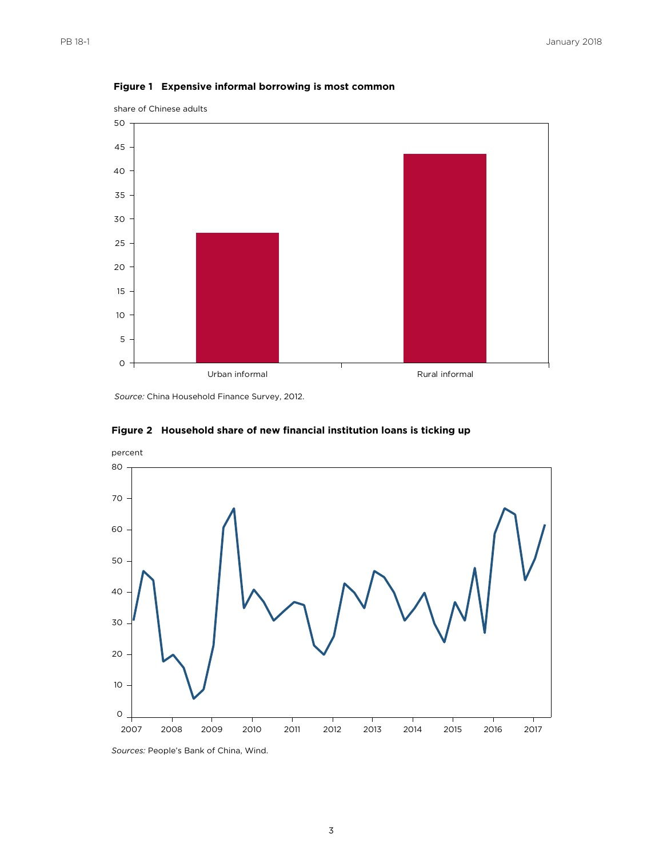

#### **Figure 1 Expensive informal borrowing is most common**

*Source:* China Household Finance Survey, 2012.



#### **Figure 2 Household share of new financial institution loans is ticking up**

*Sources:* People's Bank of China, Wind.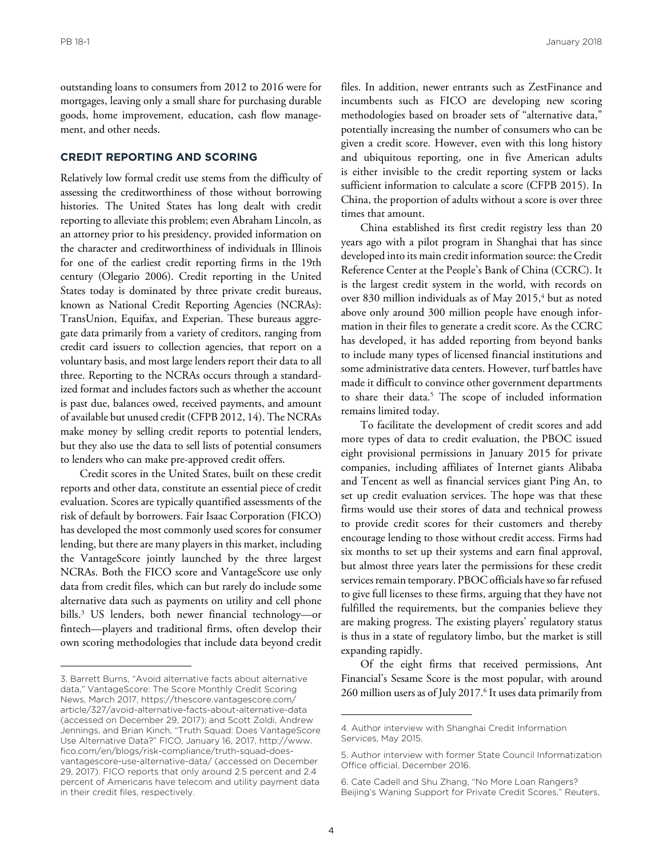outstanding loans to consumers from 2012 to 2016 were for mortgages, leaving only a small share for purchasing durable goods, home improvement, education, cash flow management, and other needs.

#### **CREDIT REPORTING AND SCORING**

Relatively low formal credit use stems from the difficulty of assessing the creditworthiness of those without borrowing histories. The United States has long dealt with credit reporting to alleviate this problem; even Abraham Lincoln, as an attorney prior to his presidency, provided information on the character and creditworthiness of individuals in Illinois for one of the earliest credit reporting firms in the 19th century (Olegario 2006). Credit reporting in the United States today is dominated by three private credit bureaus, known as National Credit Reporting Agencies (NCRAs): TransUnion, Equifax, and Experian. These bureaus aggregate data primarily from a variety of creditors, ranging from credit card issuers to collection agencies, that report on a voluntary basis, and most large lenders report their data to all three. Reporting to the NCRAs occurs through a standardized format and includes factors such as whether the account is past due, balances owed, received payments, and amount of available but unused credit (CFPB 2012, 14). The NCRAs make money by selling credit reports to potential lenders, but they also use the data to sell lists of potential consumers to lenders who can make pre-approved credit offers.

Credit scores in the United States, built on these credit reports and other data, constitute an essential piece of credit evaluation. Scores are typically quantified assessments of the risk of default by borrowers. Fair Isaac Corporation (FICO) has developed the most commonly used scores for consumer lending, but there are many players in this market, including the VantageScore jointly launched by the three largest NCRAs. Both the FICO score and VantageScore use only data from credit files, which can but rarely do include some alternative data such as payments on utility and cell phone bills.3 US lenders, both newer financial technology—or fintech—players and traditional firms, often develop their own scoring methodologies that include data beyond credit

files. In addition, newer entrants such as ZestFinance and incumbents such as FICO are developing new scoring methodologies based on broader sets of "alternative data," potentially increasing the number of consumers who can be given a credit score. However, even with this long history and ubiquitous reporting, one in five American adults is either invisible to the credit reporting system or lacks sufficient information to calculate a score (CFPB 2015). In China, the proportion of adults without a score is over three times that amount.

China established its first credit registry less than 20 years ago with a pilot program in Shanghai that has since developed into its main credit information source: the Credit Reference Center at the People's Bank of China (CCRC). It is the largest credit system in the world, with records on over 830 million individuals as of May 2015,<sup>4</sup> but as noted above only around 300 million people have enough information in their files to generate a credit score. As the CCRC has developed, it has added reporting from beyond banks to include many types of licensed financial institutions and some administrative data centers. However, turf battles have made it difficult to convince other government departments to share their data.<sup>5</sup> The scope of included information remains limited today.

To facilitate the development of credit scores and add more types of data to credit evaluation, the PBOC issued eight provisional permissions in January 2015 for private companies, including affiliates of Internet giants Alibaba and Tencent as well as financial services giant Ping An, to set up credit evaluation services. The hope was that these firms would use their stores of data and technical prowess to provide credit scores for their customers and thereby encourage lending to those without credit access. Firms had six months to set up their systems and earn final approval, but almost three years later the permissions for these credit services remain temporary. PBOC officials have so far refused to give full licenses to these firms, arguing that they have not fulfilled the requirements, but the companies believe they are making progress. The existing players' regulatory status is thus in a state of regulatory limbo, but the market is still expanding rapidly.

Of the eight firms that received permissions, Ant Financial's Sesame Score is the most popular, with around 260 million users as of July 2017.<sup>6</sup> It uses data primarily from

<sup>3.</sup> Barrett Burns, "Avoid alternative facts about alternative data," VantageScore: The Score Monthly Credit Scoring News, March 2017, https://thescore.vantagescore.com/ [article/327/avoid-alternative-facts-about-alternative-data](https://thescore.vantagescore.com/article/327/avoid-alternative-facts-about-alternative-data)  (accessed on December 29, 2017); and Scott Zoldi, Andrew Jennings, and Brian Kinch, "Truth Squad: Does VantageScore [Use Alternative Data?" FICO, January 16, 2017, http://www.](http://www.fico.com/en/blogs/risk-compliance/truth-squad-does-vantagescore-use-alternative-data/) fico.com/en/blogs/risk-compliance/truth-squad-doesvantagescore-use-alternative-data/ (accessed on December 29, 2017). FICO reports that only around 2.5 percent and 2.4 percent of Americans have telecom and utility payment data in their credit files, respectively.

<sup>4.</sup> Author interview with Shanghai Credit Information Services, May 2015.

<sup>5.</sup> Author interview with former State Council Informatization Office official, December 2016.

<sup>6.</sup> Cate Cadell and Shu Zhang, "No More Loan Rangers? Beijing's Waning Support for Private Credit Scores," Reuters,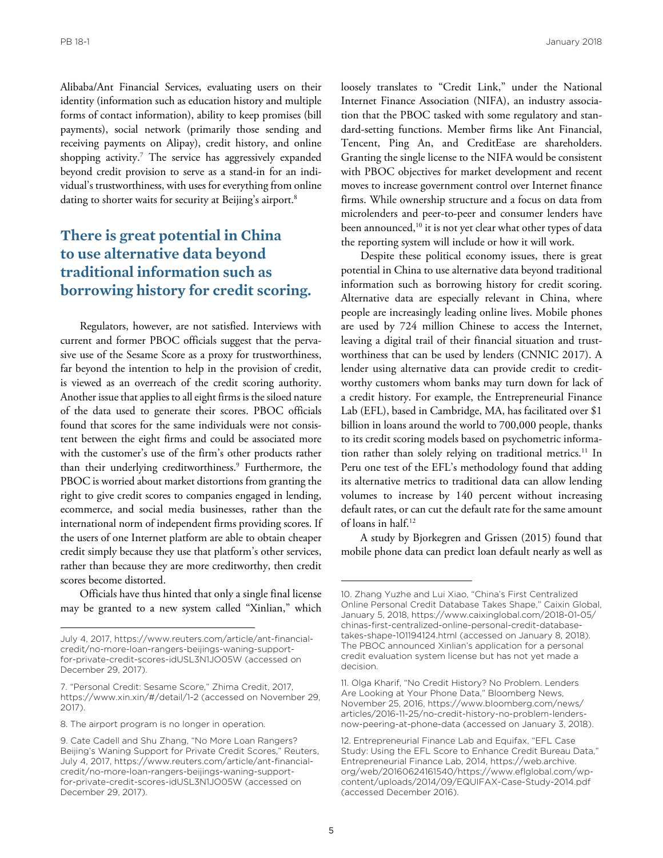Alibaba/Ant Financial Services, evaluating users on their identity (information such as education history and multiple forms of contact information), ability to keep promises (bill payments), social network (primarily those sending and receiving payments on Alipay), credit history, and online shopping activity.7 The service has aggressively expanded beyond credit provision to serve as a stand-in for an individual's trustworthiness, with uses for everything from online dating to shorter waits for security at Beijing's airport.<sup>8</sup>

### **There is great potential in China to use alternative data beyond traditional information such as borrowing history for credit scoring.**

Regulators, however, are not satisfied. Interviews with current and former PBOC officials suggest that the pervasive use of the Sesame Score as a proxy for trustworthiness, far beyond the intention to help in the provision of credit, is viewed as an overreach of the credit scoring authority. Another issue that applies to all eight firms is the siloed nature of the data used to generate their scores. PBOC officials found that scores for the same individuals were not consistent between the eight firms and could be associated more with the customer's use of the firm's other products rather than their underlying creditworthiness.<sup>9</sup> Furthermore, the PBOC is worried about market distortions from granting the right to give credit scores to companies engaged in lending, ecommerce, and social media businesses, rather than the international norm of independent firms providing scores. If the users of one Internet platform are able to obtain cheaper credit simply because they use that platform's other services, rather than because they are more creditworthy, then credit scores become distorted.

Officials have thus hinted that only a single final license may be granted to a new system called "Xinlian," which loosely translates to "Credit Link," under the National Internet Finance Association (NIFA), an industry association that the PBOC tasked with some regulatory and standard-setting functions. Member firms like Ant Financial, Tencent, Ping An, and CreditEase are shareholders. Granting the single license to the NIFA would be consistent with PBOC objectives for market development and recent moves to increase government control over Internet finance firms. While ownership structure and a focus on data from microlenders and peer-to-peer and consumer lenders have been announced,<sup>10</sup> it is not yet clear what other types of data the reporting system will include or how it will work.

Despite these political economy issues, there is great potential in China to use alternative data beyond traditional information such as borrowing history for credit scoring. Alternative data are especially relevant in China, where people are increasingly leading online lives. Mobile phones are used by 724 million Chinese to access the Internet, leaving a digital trail of their financial situation and trustworthiness that can be used by lenders (CNNIC 2017). A lender using alternative data can provide credit to creditworthy customers whom banks may turn down for lack of a credit history. For example, the Entrepreneurial Finance Lab (EFL), based in Cambridge, MA, has facilitated over \$1 billion in loans around the world to 700,000 people, thanks to its credit scoring models based on psychometric information rather than solely relying on traditional metrics.<sup>11</sup> In Peru one test of the EFL's methodology found that adding its alternative metrics to traditional data can allow lending volumes to increase by 140 percent without increasing default rates, or can cut the default rate for the same amount of loans in half.12

A study by Bjorkegren and Grissen (2015) found that mobile phone data can predict loan default nearly as well as

[July 4, 2017, https://www.reuters.com/article/ant-financial](https://www.reuters.com/article/ant-financial-credit/no-more-loan-rangers-beijings-waning-support-for-private-credit-scores-idUSL3N1JO05W)credit/no-more-loan-rangers-beijings-waning-supportfor-private-credit-scores-idUSL3N1JO05W (accessed on December 29, 2017).

<sup>7. &</sup>quot;Personal Credit: Sesame Score," Zhima Credit, 2017, https://www.xin.xin/#/detail/1-2 (accessed on November 29, 2017).

<sup>8.</sup> The airport program is no longer in operation.

<sup>9.</sup> Cate Cadell and Shu Zhang, "No More Loan Rangers? Beijing's Waning Support for Private Credit Scores," Reuters, [July 4, 2017, https://www.reuters.com/article/ant-financial](https://www.reuters.com/article/ant-financial-credit/no-more-loan-rangers-beijings-waning-support-for-private-credit-scores-idUSL3N1JO05W)credit/no-more-loan-rangers-beijings-waning-supportfor-private-credit-scores-idUSL3N1JO05W (accessed on December 29, 2017).

<sup>10.</sup> Zhang Yuzhe and Lui Xiao, "China's First Centralized Online Personal Credit Database Takes Shape," Caixin Global, [January 5, 2018, https://www.caixinglobal.com/2018-01-05/](https://www.caixinglobal.com/2018-01-05/chinas-first-centralized-online-personal-credit-database-takes-shape-101194124.html) chinas-first-centralized-online-personal-credit-databasetakes-shape-101194124.html (accessed on January 8, 2018). The PBOC announced Xinlian's application for a personal credit evaluation system license but has not yet made a decision.

<sup>11.</sup> Olga Kharif, "No Credit History? No Problem. Lenders Are Looking at Your Phone Data," Bloomberg News, November 25, 2016, https://www.bloomberg.com/news/ [articles/2016-11-25/no-credit-history-no-problem-lenders](https://www.bloomberg.com/news/articles/2016-11-25/no-credit-history-no-problem-lenders-now-peering-at-phone-data)now-peering-at-phone-data (accessed on January 3, 2018).

<sup>12.</sup> Entrepreneurial Finance Lab and Equifax, "EFL Case Study: Using the EFL Score to Enhance Credit Bureau Data," Entrepreneurial Finance Lab, 2014, https://web.archive. [org/web/20160624161540/https://www.eflglobal.com/wp](https://web.archive.org/web/20160624161540/https://www.eflglobal.com/wp-content/uploads/2014/09/EQUIFAX-Case-Study-2014.pdf)content/uploads/2014/09/EQUIFAX-Case-Study-2014.pdf (accessed December 2016).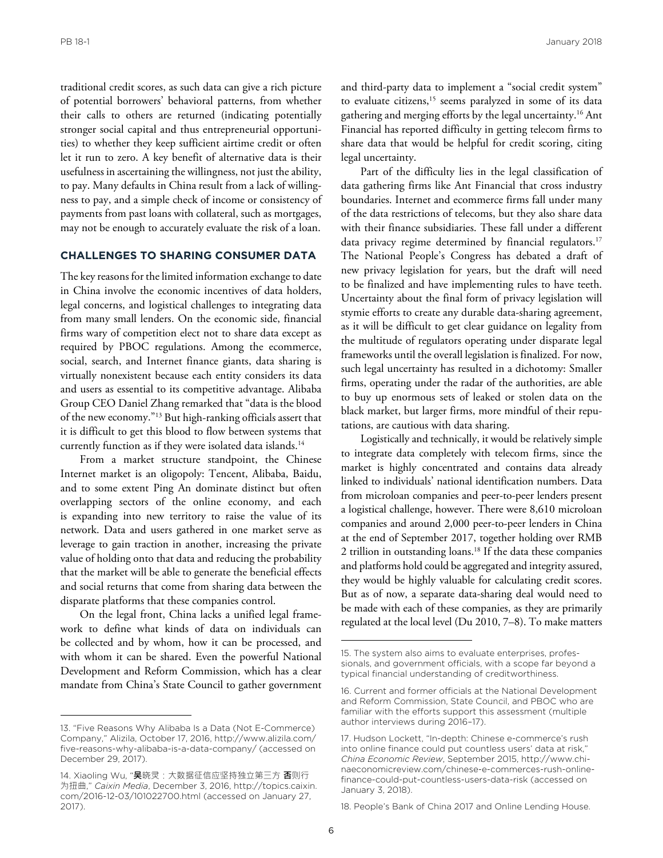PB 18-1 January 2018

traditional credit scores, as such data can give a rich picture of potential borrowers' behavioral patterns, from whether their calls to others are returned (indicating potentially stronger social capital and thus entrepreneurial opportunities) to whether they keep sufficient airtime credit or often let it run to zero. A key benefit of alternative data is their usefulness in ascertaining the willingness, not just the ability, to pay. Many defaults in China result from a lack of willingness to pay, and a simple check of income or consistency of payments from past loans with collateral, such as mortgages, may not be enough to accurately evaluate the risk of a loan.

#### **CHALLENGES TO SHARING CONSUMER DATA**

The key reasons for the limited information exchange to date in China involve the economic incentives of data holders, legal concerns, and logistical challenges to integrating data from many small lenders. On the economic side, financial firms wary of competition elect not to share data except as required by PBOC regulations. Among the ecommerce, social, search, and Internet finance giants, data sharing is virtually nonexistent because each entity considers its data and users as essential to its competitive advantage. Alibaba Group CEO Daniel Zhang remarked that "data is the blood of the new economy."13 But high-ranking officials assert that it is difficult to get this blood to flow between systems that currently function as if they were isolated data islands.<sup>14</sup>

From a market structure standpoint, the Chinese Internet market is an oligopoly: Tencent, Alibaba, Baidu, and to some extent Ping An dominate distinct but often overlapping sectors of the online economy, and each is expanding into new territory to raise the value of its network. Data and users gathered in one market serve as leverage to gain traction in another, increasing the private value of holding onto that data and reducing the probability that the market will be able to generate the beneficial effects and social returns that come from sharing data between the disparate platforms that these companies control.

On the legal front, China lacks a unified legal framework to define what kinds of data on individuals can be collected and by whom, how it can be processed, and with whom it can be shared. Even the powerful National Development and Reform Commission, which has a clear mandate from China's State Council to gather government and third-party data to implement a "social credit system" to evaluate citizens,<sup>15</sup> seems paralyzed in some of its data gathering and merging efforts by the legal uncertainty.16 Ant Financial has reported difficulty in getting telecom firms to share data that would be helpful for credit scoring, citing legal uncertainty.

Part of the difficulty lies in the legal classification of data gathering firms like Ant Financial that cross industry boundaries. Internet and ecommerce firms fall under many of the data restrictions of telecoms, but they also share data with their finance subsidiaries. These fall under a different data privacy regime determined by financial regulators.<sup>17</sup> The National People's Congress has debated a draft of new privacy legislation for years, but the draft will need to be finalized and have implementing rules to have teeth. Uncertainty about the final form of privacy legislation will stymie efforts to create any durable data-sharing agreement, as it will be difficult to get clear guidance on legality from the multitude of regulators operating under disparate legal frameworks until the overall legislation is finalized. For now, such legal uncertainty has resulted in a dichotomy: Smaller firms, operating under the radar of the authorities, are able to buy up enormous sets of leaked or stolen data on the black market, but larger firms, more mindful of their reputations, are cautious with data sharing.

Logistically and technically, it would be relatively simple to integrate data completely with telecom firms, since the market is highly concentrated and contains data already linked to individuals' national identification numbers. Data from microloan companies and peer-to-peer lenders present a logistical challenge, however. There were 8,610 microloan companies and around 2,000 peer-to-peer lenders in China at the end of September 2017, together holding over RMB 2 trillion in outstanding loans.<sup>18</sup> If the data these companies and platforms hold could be aggregated and integrity assured, they would be highly valuable for calculating credit scores. But as of now, a separate data-sharing deal would need to be made with each of these companies, as they are primarily regulated at the local level (Du 2010, 7–8). To make matters

18. People's Bank of China 2017 and Online Lending House.

<sup>13. &</sup>quot;Five Reasons Why Alibaba Is a Data (Not E-Commerce) Company," Alizila, October 17, 2016, http://www.alizila.com/ [five-reasons-why-alibaba-is-a-data-company/ \(accessed on](http://www.alizila.com/five-reasons-why-alibaba-is-a-data-company/)  December 29, 2017).

<sup>14.</sup> Xiaoling Wu, "**吴**晓灵:大数据征信应坚持独立第三方 **否**则行 为扭曲," *Caixin Media*, December 3, 2016, http://topics.caixin. [com/2016-12-03/101022700.html \(accessed on January 27,](http://topics.caixin.com/2016-12-03/101022700.html)  2017).

<sup>15.</sup> The system also aims to evaluate enterprises, professionals, and government officials, with a scope far beyond a typical financial understanding of creditworthiness.

<sup>16.</sup> Current and former officials at the National Development and Reform Commission, State Council, and PBOC who are familiar with the efforts support this assessment (multiple author interviews during 2016–17).

<sup>17.</sup> Hudson Lockett, "In-depth: Chinese e-commerce's rush into online finance could put countless users' data at risk," *China Economic Review*, September 2015, http://www.chi[naeconomicreview.com/chinese-e-commerces-rush-online](http://www.chinaeconomicreview.com/chinese-e-commerces-rush-online-finance-could-put-countless-users-data-risk)finance-could-put-countless-users-data-risk (accessed on January 3, 2018).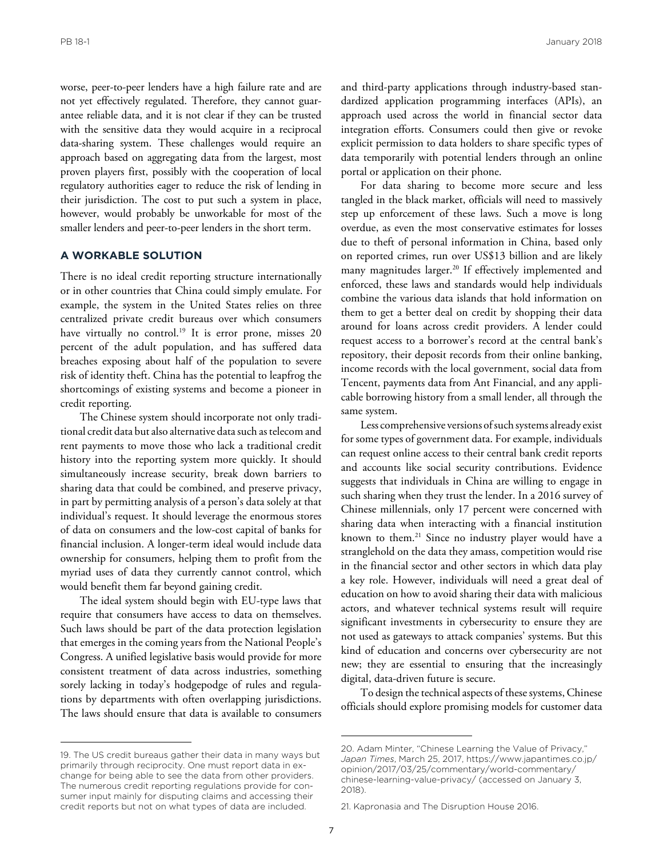PB 18-1 January 2018

worse, peer-to-peer lenders have a high failure rate and are not yet effectively regulated. Therefore, they cannot guarantee reliable data, and it is not clear if they can be trusted with the sensitive data they would acquire in a reciprocal data-sharing system. These challenges would require an approach based on aggregating data from the largest, most proven players first, possibly with the cooperation of local regulatory authorities eager to reduce the risk of lending in their jurisdiction. The cost to put such a system in place, however, would probably be unworkable for most of the smaller lenders and peer-to-peer lenders in the short term.

#### **A WORKABLE SOLUTION**

There is no ideal credit reporting structure internationally or in other countries that China could simply emulate. For example, the system in the United States relies on three centralized private credit bureaus over which consumers have virtually no control.<sup>19</sup> It is error prone, misses 20 percent of the adult population, and has suffered data breaches exposing about half of the population to severe risk of identity theft. China has the potential to leapfrog the shortcomings of existing systems and become a pioneer in credit reporting.

The Chinese system should incorporate not only traditional credit data but also alternative data such as telecom and rent payments to move those who lack a traditional credit history into the reporting system more quickly. It should simultaneously increase security, break down barriers to sharing data that could be combined, and preserve privacy, in part by permitting analysis of a person's data solely at that individual's request. It should leverage the enormous stores of data on consumers and the low-cost capital of banks for financial inclusion. A longer-term ideal would include data ownership for consumers, helping them to profit from the myriad uses of data they currently cannot control, which would benefit them far beyond gaining credit.

The ideal system should begin with EU-type laws that require that consumers have access to data on themselves. Such laws should be part of the data protection legislation that emerges in the coming years from the National People's Congress. A unified legislative basis would provide for more consistent treatment of data across industries, something sorely lacking in today's hodgepodge of rules and regulations by departments with often overlapping jurisdictions. The laws should ensure that data is available to consumers

19. The US credit bureaus gather their data in many ways but primarily through reciprocity. One must report data in exchange for being able to see the data from other providers. The numerous credit reporting regulations provide for consumer input mainly for disputing claims and accessing their credit reports but not on what types of data are included.

and third-party applications through industry-based standardized application programming interfaces (APIs), an approach used across the world in financial sector data integration efforts. Consumers could then give or revoke explicit permission to data holders to share specific types of data temporarily with potential lenders through an online portal or application on their phone.

For data sharing to become more secure and less tangled in the black market, officials will need to massively step up enforcement of these laws. Such a move is long overdue, as even the most conservative estimates for losses due to theft of personal information in China, based only on reported crimes, run over US\$13 billion and are likely many magnitudes larger.<sup>20</sup> If effectively implemented and enforced, these laws and standards would help individuals combine the various data islands that hold information on them to get a better deal on credit by shopping their data around for loans across credit providers. A lender could request access to a borrower's record at the central bank's repository, their deposit records from their online banking, income records with the local government, social data from Tencent, payments data from Ant Financial, and any applicable borrowing history from a small lender, all through the same system.

Less comprehensive versions of such systems already exist for some types of government data. For example, individuals can request online access to their central bank credit reports and accounts like social security contributions. Evidence suggests that individuals in China are willing to engage in such sharing when they trust the lender. In a 2016 survey of Chinese millennials, only 17 percent were concerned with sharing data when interacting with a financial institution known to them.21 Since no industry player would have a stranglehold on the data they amass, competition would rise in the financial sector and other sectors in which data play a key role. However, individuals will need a great deal of education on how to avoid sharing their data with malicious actors, and whatever technical systems result will require significant investments in cybersecurity to ensure they are not used as gateways to attack companies' systems. But this kind of education and concerns over cybersecurity are not new; they are essential to ensuring that the increasingly digital, data-driven future is secure.

To design the technical aspects of these systems, Chinese officials should explore promising models for customer data

<sup>20.</sup> Adam Minter, "Chinese Learning the Value of Privacy," *Japan Times*, March 25, 2017, https://www.japantimes.co.jp/ opinion/2017/03/25/commentary/world-commentary/ [chinese-learning-value-privacy/ \(accessed on January 3,](https://www.japantimes.co.jp/opinion/2017/03/25/commentary/world-commentary/chinese-learning-value-privacy/)  2018).

<sup>21.</sup> Kapronasia and The Disruption House 2016.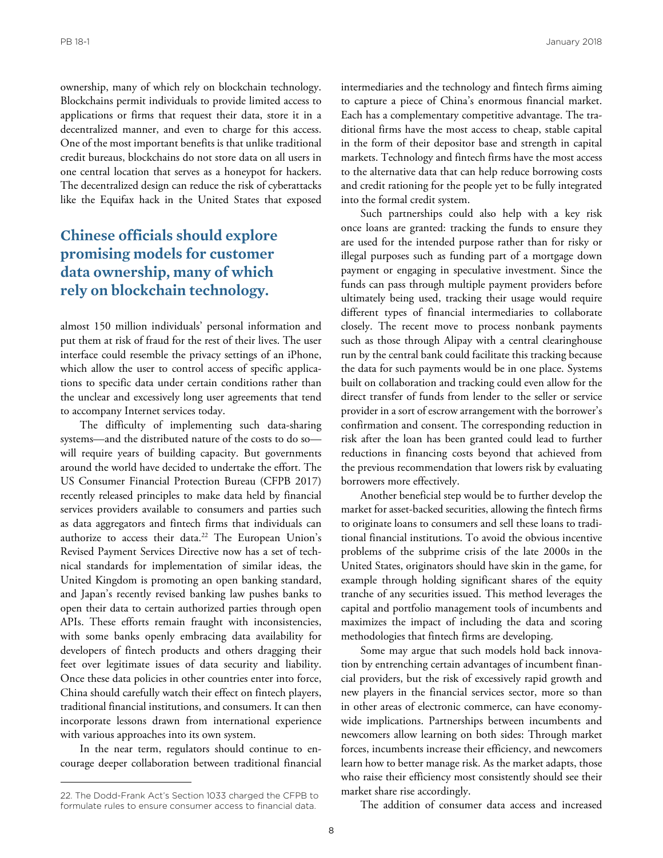PB 18-1 January 2018

ownership, many of which rely on blockchain technology. Blockchains permit individuals to provide limited access to applications or firms that request their data, store it in a decentralized manner, and even to charge for this access. One of the most important benefits is that unlike traditional credit bureaus, blockchains do not store data on all users in one central location that serves as a honeypot for hackers. The decentralized design can reduce the risk of cyberattacks like the Equifax hack in the United States that exposed

## **Chinese officials should explore promising models for customer data ownership, many of which rely on blockchain technology.**

almost 150 million individuals' personal information and put them at risk of fraud for the rest of their lives. The user interface could resemble the privacy settings of an iPhone, which allow the user to control access of specific applications to specific data under certain conditions rather than the unclear and excessively long user agreements that tend to accompany Internet services today.

The difficulty of implementing such data-sharing systems—and the distributed nature of the costs to do so will require years of building capacity. But governments around the world have decided to undertake the effort. The US Consumer Financial Protection Bureau (CFPB 2017) recently released principles to make data held by financial services providers available to consumers and parties such as data aggregators and fintech firms that individuals can authorize to access their data.<sup>22</sup> The European Union's Revised Payment Services Directive now has a set of technical standards for implementation of similar ideas, the United Kingdom is promoting an open banking standard, and Japan's recently revised banking law pushes banks to open their data to certain authorized parties through open APIs. These efforts remain fraught with inconsistencies, with some banks openly embracing data availability for developers of fintech products and others dragging their feet over legitimate issues of data security and liability. Once these data policies in other countries enter into force, China should carefully watch their effect on fintech players, traditional financial institutions, and consumers. It can then incorporate lessons drawn from international experience with various approaches into its own system.

In the near term, regulators should continue to encourage deeper collaboration between traditional financial intermediaries and the technology and fintech firms aiming to capture a piece of China's enormous financial market. Each has a complementary competitive advantage. The traditional firms have the most access to cheap, stable capital in the form of their depositor base and strength in capital markets. Technology and fintech firms have the most access to the alternative data that can help reduce borrowing costs and credit rationing for the people yet to be fully integrated into the formal credit system.

Such partnerships could also help with a key risk once loans are granted: tracking the funds to ensure they are used for the intended purpose rather than for risky or illegal purposes such as funding part of a mortgage down payment or engaging in speculative investment. Since the funds can pass through multiple payment providers before ultimately being used, tracking their usage would require different types of financial intermediaries to collaborate closely. The recent move to process nonbank payments such as those through Alipay with a central clearinghouse run by the central bank could facilitate this tracking because the data for such payments would be in one place. Systems built on collaboration and tracking could even allow for the direct transfer of funds from lender to the seller or service provider in a sort of escrow arrangement with the borrower's confirmation and consent. The corresponding reduction in risk after the loan has been granted could lead to further reductions in financing costs beyond that achieved from the previous recommendation that lowers risk by evaluating borrowers more effectively.

Another beneficial step would be to further develop the market for asset-backed securities, allowing the fintech firms to originate loans to consumers and sell these loans to traditional financial institutions. To avoid the obvious incentive problems of the subprime crisis of the late 2000s in the United States, originators should have skin in the game, for example through holding significant shares of the equity tranche of any securities issued. This method leverages the capital and portfolio management tools of incumbents and maximizes the impact of including the data and scoring methodologies that fintech firms are developing.

Some may argue that such models hold back innovation by entrenching certain advantages of incumbent financial providers, but the risk of excessively rapid growth and new players in the financial services sector, more so than in other areas of electronic commerce, can have economywide implications. Partnerships between incumbents and newcomers allow learning on both sides: Through market forces, incumbents increase their efficiency, and newcomers learn how to better manage risk. As the market adapts, those who raise their efficiency most consistently should see their market share rise accordingly.

The addition of consumer data access and increased

<sup>22.</sup> The Dodd-Frank Act's Section 1033 charged the CFPB to formulate rules to ensure consumer access to financial data.